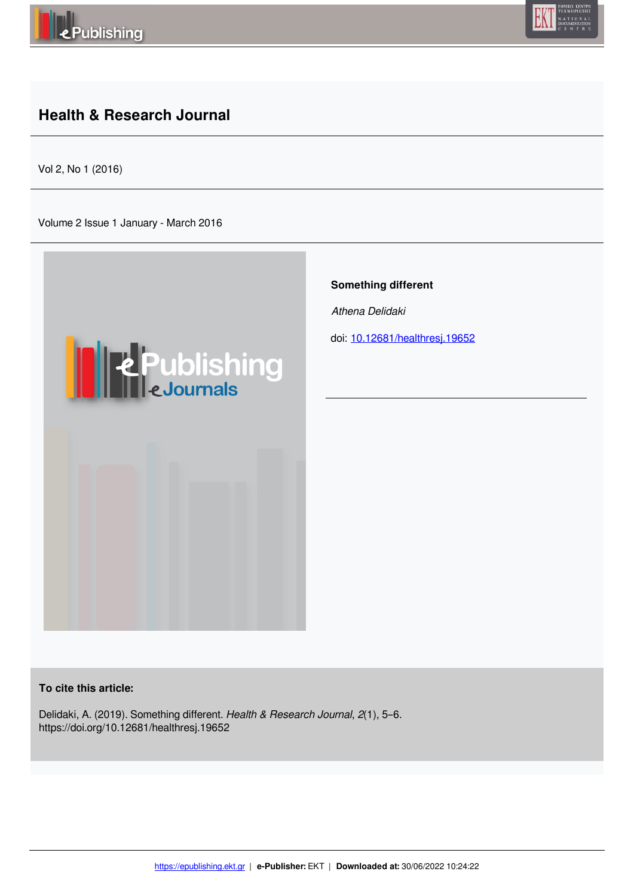

## **Health & Research Journal**

Vol 2, No 1 (2016)

Volume 2 Issue 1 January - March 2016



**To cite this article:**

Delidaki, A. (2019). Something different. *Health & Research Journal*, *2*(1), 5–6. https://doi.org/10.12681/healthresj.19652

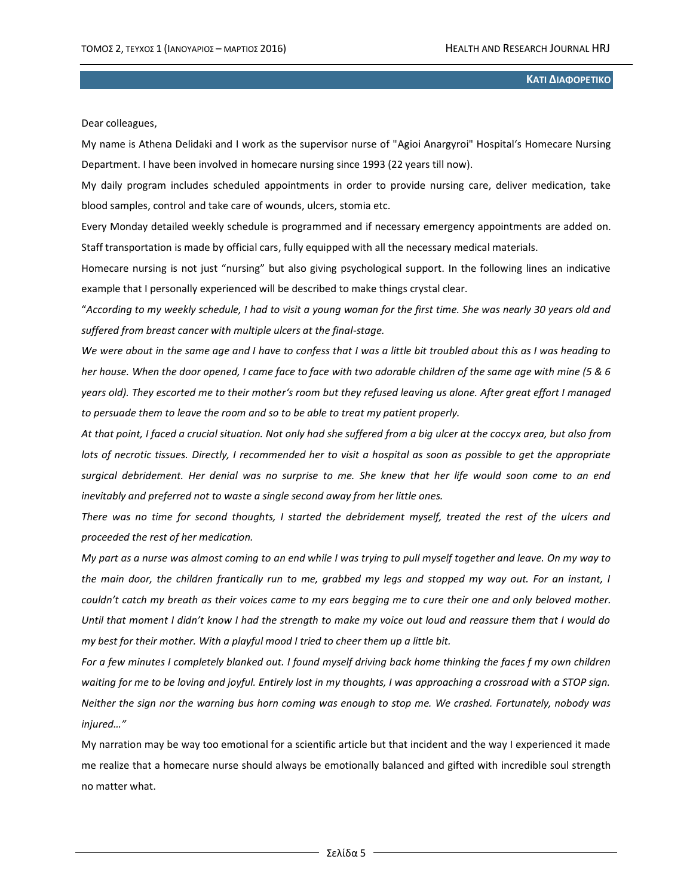## **ΚΑΤΙ ΔΙΑΦΟΡΕΤΙΚΟ**

Dear colleagues,

My name is Athena Delidaki and I work as the supervisor nurse of "Agioi Anargyroi" Hospital's Homecare Nursing Department. I have been involved in homecare nursing since 1993 (22 years till now).

My daily program includes scheduled appointments in order to provide nursing care, deliver medication, take blood samples, control and take care of wounds, ulcers, stomia etc.

Every Monday detailed weekly schedule is programmed and if necessary emergency appointments are added on. Staff transportation is made by official cars, fully equipped with all the necessary medical materials.

Homecare nursing is not just "nursing" but also giving psychological support. In the following lines an indicative example that I personally experienced will be described to make things crystal clear.

"*According to my weekly schedule, I had to visit a young woman for the first time. She was nearly 30 years old and suffered from breast cancer with multiple ulcers at the final-stage.* 

*We were about in the same age and I have to confess that I was a little bit troubled about this as I was heading to her house. When the door opened, I came face to face with two adorable children of the same age with mine (5 & 6 years old). They escorted me to their mother's room but they refused leaving us alone. After great effort I managed to persuade them to leave the room and so to be able to treat my patient properly.* 

*At that point, I faced a crucial situation. Not only had she suffered from a big ulcer at the coccyx area, but also from lots of necrotic tissues. Directly, I recommended her to visit a hospital as soon as possible to get the appropriate surgical debridement. Her denial was no surprise to me. She knew that her life would soon come to an end inevitably and preferred not to waste a single second away from her little ones.* 

*There was no time for second thoughts, I started the debridement myself, treated the rest of the ulcers and proceeded the rest of her medication.* 

*My part as a nurse was almost coming to an end while I was trying to pull myself together and leave. On my way to the main door, the children frantically run to me, grabbed my legs and stopped my way out. For an instant, I couldn't catch my breath as their voices came to my ears begging me to cure their one and only beloved mother. Until that moment I didn't know I had the strength to make my voice out loud and reassure them that I would do my best for their mother. With a playful mood I tried to cheer them up a little bit.* 

*For a few minutes I completely blanked out. I found myself driving back home thinking the faces f my own children waiting for me to be loving and joyful. Entirely lost in my thoughts, I was approaching a crossroad with a STOP sign. Neither the sign nor the warning bus horn coming was enough to stop me. We crashed. Fortunately, nobody was injured…"* 

My narration may be way too emotional for a scientific article but that incident and the way I experienced it made me realize that a homecare nurse should always be emotionally balanced and gifted with incredible soul strength no matter what.